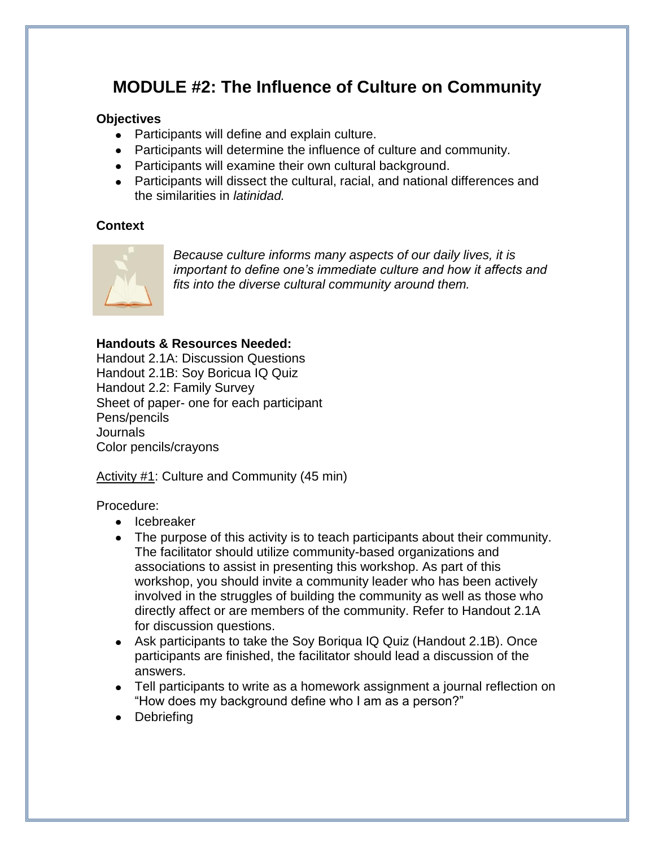# **MODULE #2: The Influence of Culture on Community**

# **Objectives**

- Participants will define and explain culture.
- Participants will determine the influence of culture and community.
- Participants will examine their own cultural background.
- Participants will dissect the cultural, racial, and national differences and the similarities in *latinidad.*

# **Context**



*Because culture informs many aspects of our daily lives, it is important to define one's immediate culture and how it affects and fits into the diverse cultural community around them.* 

# **Handouts & Resources Needed:**

Handout 2.1A: Discussion Questions Handout 2.1B: Soy Boricua IQ Quiz Handout 2.2: Family Survey Sheet of paper- one for each participant Pens/pencils Journals Color pencils/crayons

Activity #1: Culture and Community (45 min)

Procedure:

- Icebreaker
- The purpose of this activity is to teach participants about their community. The facilitator should utilize community-based organizations and associations to assist in presenting this workshop. As part of this workshop, you should invite a community leader who has been actively involved in the struggles of building the community as well as those who directly affect or are members of the community. Refer to Handout 2.1A for discussion questions.
- Ask participants to take the Soy Boriqua IQ Quiz (Handout 2.1B). Once participants are finished, the facilitator should lead a discussion of the answers.
- Tell participants to write as a homework assignment a journal reflection on "How does my background define who I am as a person?"
- Debriefing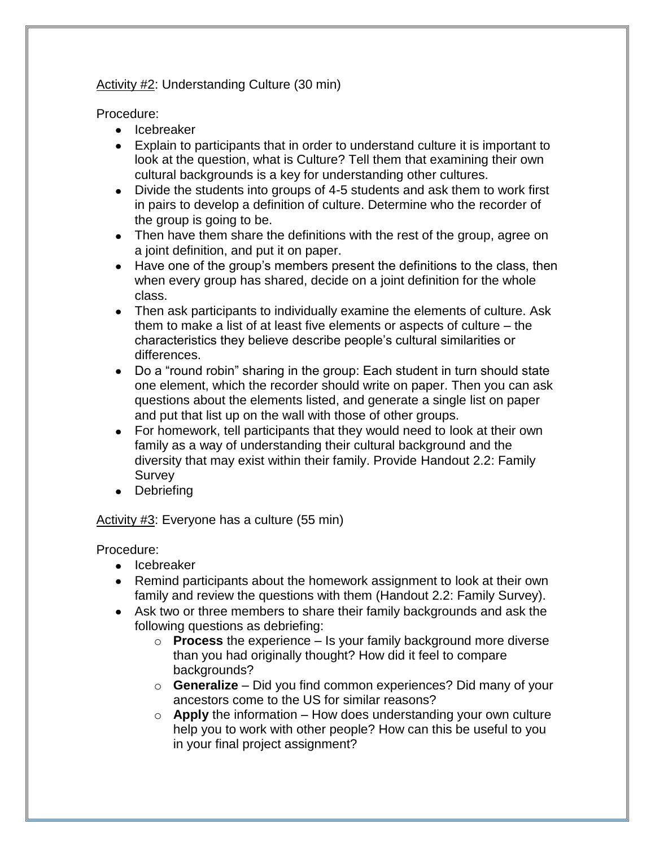# Activity #2: Understanding Culture (30 min)

Procedure:

- Icebreaker
- Explain to participants that in order to understand culture it is important to look at the question, what is Culture? Tell them that examining their own cultural backgrounds is a key for understanding other cultures.
- Divide the students into groups of 4-5 students and ask them to work first in pairs to develop a definition of culture. Determine who the recorder of the group is going to be.
- Then have them share the definitions with the rest of the group, agree on a joint definition, and put it on paper.
- Have one of the group's members present the definitions to the class, then when every group has shared, decide on a joint definition for the whole class.
- Then ask participants to individually examine the elements of culture. Ask them to make a list of at least five elements or aspects of culture – the characteristics they believe describe people's cultural similarities or differences.
- Do a "round robin" sharing in the group: Each student in turn should state one element, which the recorder should write on paper. Then you can ask questions about the elements listed, and generate a single list on paper and put that list up on the wall with those of other groups.
- For homework, tell participants that they would need to look at their own family as a way of understanding their cultural background and the diversity that may exist within their family. Provide Handout 2.2: Family Survey
- Debriefing

# Activity #3: Everyone has a culture (55 min)

Procedure:

- Icebreaker
- Remind participants about the homework assignment to look at their own family and review the questions with them (Handout 2.2: Family Survey).
- Ask two or three members to share their family backgrounds and ask the following questions as debriefing:
	- o **Process** the experience Is your family background more diverse than you had originally thought? How did it feel to compare backgrounds?
	- o **Generalize**  Did you find common experiences? Did many of your ancestors come to the US for similar reasons?
	- o **Apply** the information How does understanding your own culture help you to work with other people? How can this be useful to you in your final project assignment?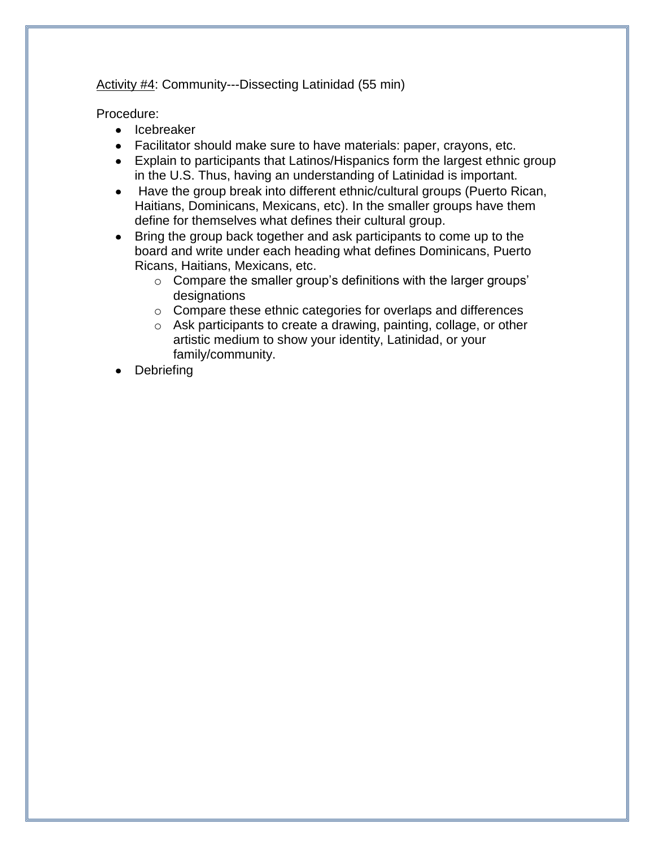Activity #4: Community---Dissecting Latinidad (55 min)

Procedure:

- Icebreaker
- Facilitator should make sure to have materials: paper, crayons, etc.
- Explain to participants that Latinos/Hispanics form the largest ethnic group in the U.S. Thus, having an understanding of Latinidad is important.
- Have the group break into different ethnic/cultural groups (Puerto Rican, Haitians, Dominicans, Mexicans, etc). In the smaller groups have them define for themselves what defines their cultural group.
- Bring the group back together and ask participants to come up to the board and write under each heading what defines Dominicans, Puerto Ricans, Haitians, Mexicans, etc.
	- o Compare the smaller group's definitions with the larger groups' designations
	- o Compare these ethnic categories for overlaps and differences
	- o Ask participants to create a drawing, painting, collage, or other artistic medium to show your identity, Latinidad, or your family/community.
- Debriefing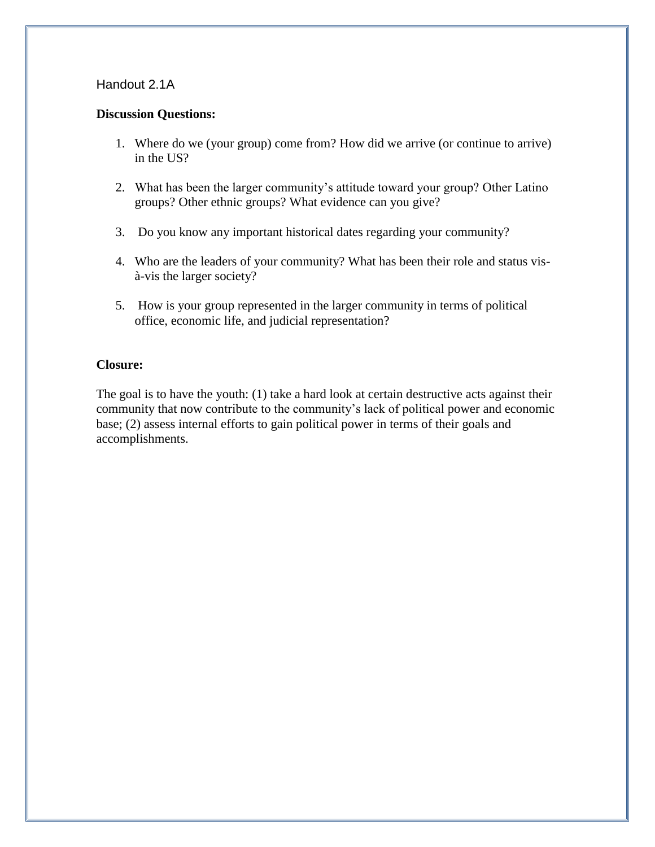#### **Discussion Questions:**

- 1. Where do we (your group) come from? How did we arrive (or continue to arrive) in the US?
- 2. What has been the larger community's attitude toward your group? Other Latino groups? Other ethnic groups? What evidence can you give?
- 3. Do you know any important historical dates regarding your community?
- 4. Who are the leaders of your community? What has been their role and status visà-vis the larger society?
- 5. How is your group represented in the larger community in terms of political office, economic life, and judicial representation?

## **Closure:**

The goal is to have the youth: (1) take a hard look at certain destructive acts against their community that now contribute to the community's lack of political power and economic base; (2) assess internal efforts to gain political power in terms of their goals and accomplishments.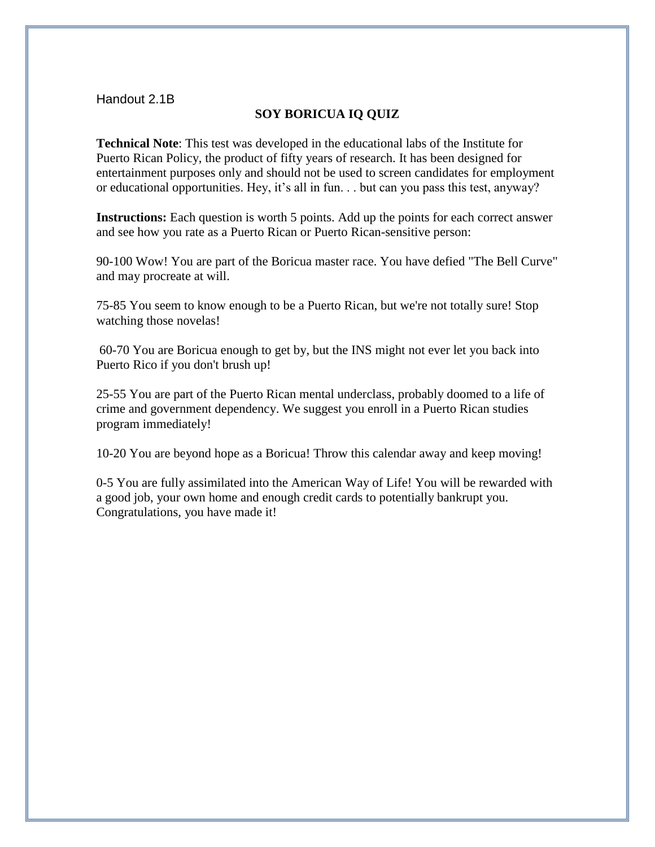### **SOY BORICUA IQ QUIZ**

**Technical Note**: This test was developed in the educational labs of the Institute for Puerto Rican Policy, the product of fifty years of research. It has been designed for entertainment purposes only and should not be used to screen candidates for employment or educational opportunities. Hey, it's all in fun. . . but can you pass this test, anyway?

**Instructions:** Each question is worth 5 points. Add up the points for each correct answer and see how you rate as a Puerto Rican or Puerto Rican-sensitive person:

90-100 Wow! You are part of the Boricua master race. You have defied "The Bell Curve" and may procreate at will.

75-85 You seem to know enough to be a Puerto Rican, but we're not totally sure! Stop watching those novelas!

60-70 You are Boricua enough to get by, but the INS might not ever let you back into Puerto Rico if you don't brush up!

25-55 You are part of the Puerto Rican mental underclass, probably doomed to a life of crime and government dependency. We suggest you enroll in a Puerto Rican studies program immediately!

10-20 You are beyond hope as a Boricua! Throw this calendar away and keep moving!

0-5 You are fully assimilated into the American Way of Life! You will be rewarded with a good job, your own home and enough credit cards to potentially bankrupt you. Congratulations, you have made it!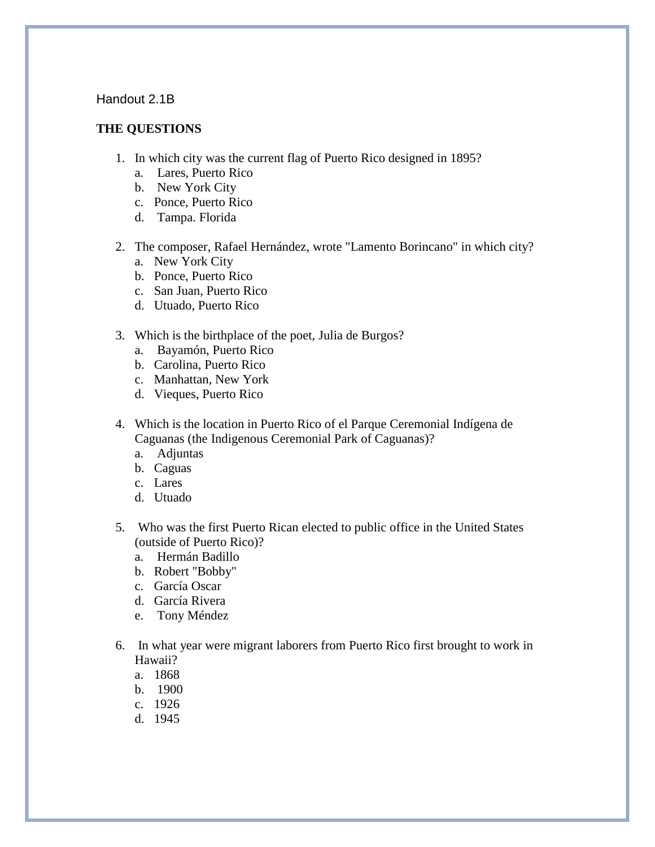#### **THE QUESTIONS**

- 1. In which city was the current flag of Puerto Rico designed in 1895?
	- a. Lares, Puerto Rico
	- b. New York City
	- c. Ponce, Puerto Rico
	- d. Tampa. Florida
- 2. The composer, Rafael Hernández, wrote "Lamento Borincano" in which city?
	- a. New York City
	- b. Ponce, Puerto Rico
	- c. San Juan, Puerto Rico
	- d. Utuado, Puerto Rico
- 3. Which is the birthplace of the poet, Julia de Burgos?
	- a. Bayamón, Puerto Rico
	- b. Carolina, Puerto Rico
	- c. Manhattan, New York
	- d. Vieques, Puerto Rico
- 4. Which is the location in Puerto Rico of el Parque Ceremonial Indígena de Caguanas (the Indigenous Ceremonial Park of Caguanas)?
	- a. Adjuntas
	- b. Caguas
	- c. Lares
	- d. Utuado
- 5. Who was the first Puerto Rican elected to public office in the United States (outside of Puerto Rico)?
	- a. Hermán Badillo
	- b. Robert "Bobby"
	- c. García Oscar
	- d. García Rivera
	- e. Tony Méndez
- 6. In what year were migrant laborers from Puerto Rico first brought to work in Hawaii?
	- a. 1868
	- b. 1900
	- c. 1926
	- d. 1945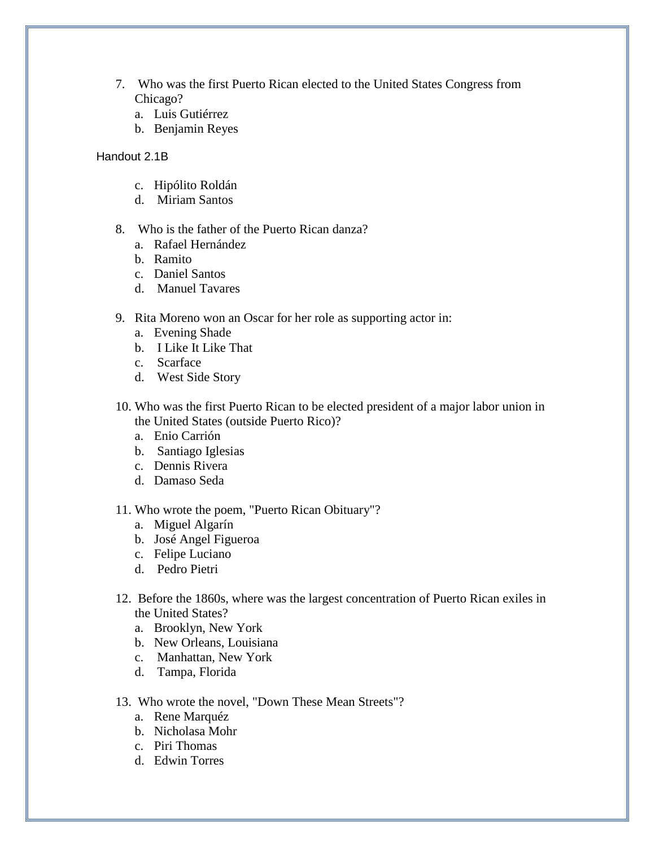- 7. Who was the first Puerto Rican elected to the United States Congress from Chicago?
	- a. Luis Gutiérrez
	- b. Benjamin Reyes

- c. Hipólito Roldán
- d. Miriam Santos
- 8. Who is the father of the Puerto Rican danza?
	- a. Rafael Hernández
	- b. Ramito
	- c. Daniel Santos
	- d. Manuel Tavares
- 9. Rita Moreno won an Oscar for her role as supporting actor in:
	- a. Evening Shade
	- b. I Like It Like That
	- c. Scarface
	- d. West Side Story
- 10. Who was the first Puerto Rican to be elected president of a major labor union in the United States (outside Puerto Rico)?
	- a. Enio Carrión
	- b. Santiago Iglesias
	- c. Dennis Rivera
	- d. Damaso Seda
- 11. Who wrote the poem, "Puerto Rican Obituary"?
	- a. Miguel Algarín
	- b. José Angel Figueroa
	- c. Felipe Luciano
	- d. Pedro Pietri
- 12. Before the 1860s, where was the largest concentration of Puerto Rican exiles in the United States?
	- a. Brooklyn, New York
	- b. New Orleans, Louisiana
	- c. Manhattan, New York
	- d. Tampa, Florida
- 13. Who wrote the novel, "Down These Mean Streets"?
	- a. Rene Marquéz
	- b. Nicholasa Mohr
	- c. Piri Thomas
	- d. Edwin Torres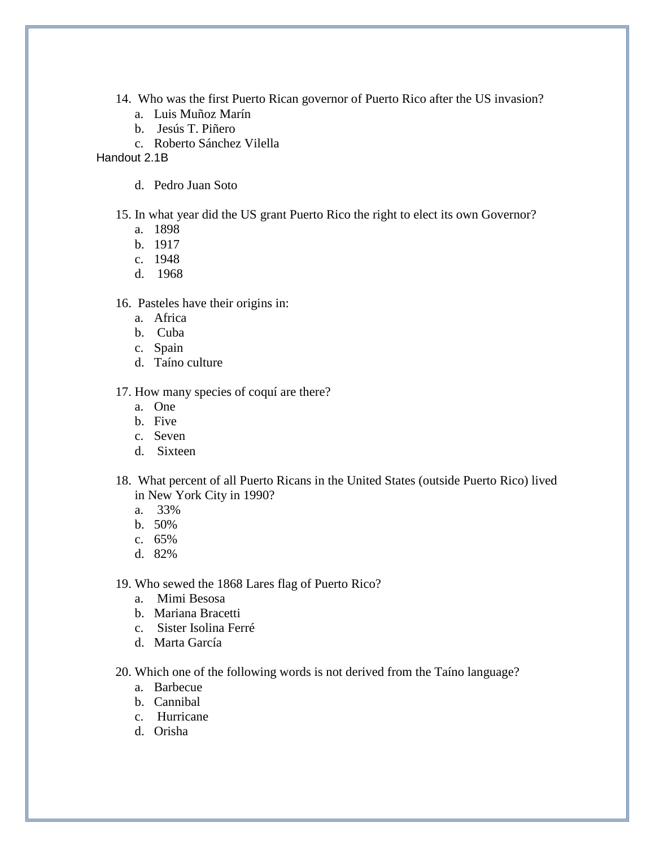- 14. Who was the first Puerto Rican governor of Puerto Rico after the US invasion?
	- a. Luis Muñoz Marín
	- b. Jesús T. Piñero
	- c. Roberto Sánchez Vilella

d. Pedro Juan Soto

15. In what year did the US grant Puerto Rico the right to elect its own Governor?

- a. 1898
- b. 1917
- c. 1948
- d. 1968

16. Pasteles have their origins in:

- a. Africa
- b. Cuba
- c. Spain
- d. Taíno culture

17. How many species of coquí are there?

- a. One
- b. Five
- c. Seven
- d. Sixteen
- 18. What percent of all Puerto Ricans in the United States (outside Puerto Rico) lived in New York City in 1990?
	- a. 33%
	- b. 50%
	- c. 65%
	- d. 82%
- 19. Who sewed the 1868 Lares flag of Puerto Rico?
	- a. Mimi Besosa
	- b. Mariana Bracetti
	- c. Sister Isolina Ferré
	- d. Marta García
- 20. Which one of the following words is not derived from the Taíno language?
	- a. Barbecue
	- b. Cannibal
	- c. Hurricane
	- d. Orisha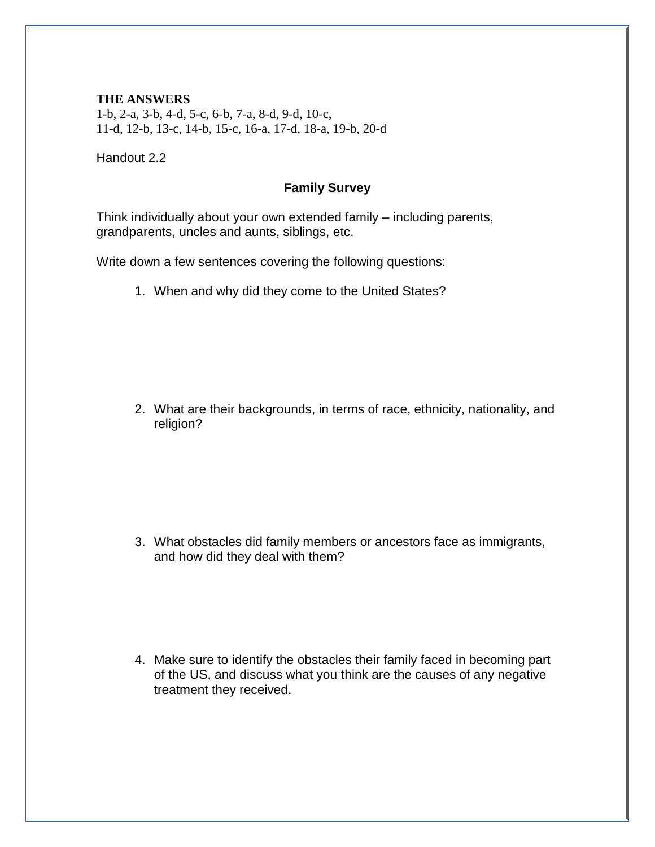#### **THE ANSWERS**

1-b, 2-a, 3-b, 4-d, 5-c, 6-b, 7-a, 8-d, 9-d, 10-c, 11-d, 12-b, 13-c, 14-b, 15-c, 16-a, 17-d, 18-a, 19-b, 20-d

Handout 2.2

## **Family Survey**

Think individually about your own extended family – including parents, grandparents, uncles and aunts, siblings, etc.

Write down a few sentences covering the following questions:

1. When and why did they come to the United States?

2. What are their backgrounds, in terms of race, ethnicity, nationality, and religion?

3. What obstacles did family members or ancestors face as immigrants, and how did they deal with them?

4. Make sure to identify the obstacles their family faced in becoming part of the US, and discuss what you think are the causes of any negative treatment they received.